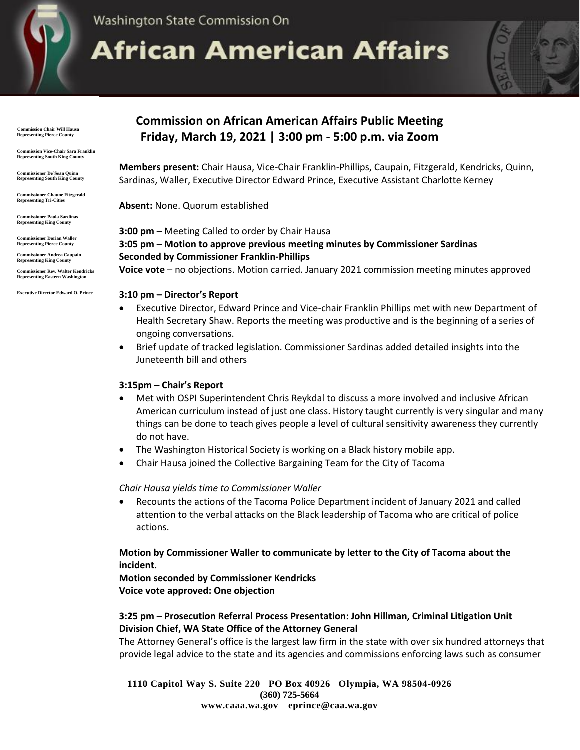

Washington State Commission On

# **African American Affairs**

 **Commission Chair Will Hausa Representing Pierce County**

**Commission Vice-Chair Sara Franklin Representing South King County**

**Commissioner De'Sean Quinn Representing South King County**

**Commissioner Chaune Fitzgerald Representing Tri-Cities** 

**Commissioner Paula Sardinas Representing King County**

**Commissioner Dorian Waller Representing Pierce County**

**Commissioner Andrea Caupain Representing King County**

**Commissioner Rev. Walter Kendricks Representing Eastern Washington**

**Executive Director Edward O. Prince**

## **Commission on African American Affairs Public Meeting Friday, March 19, 2021 | 3:00 pm - 5:00 p.m. via Zoom**

**Members present:** Chair Hausa, Vice-Chair Franklin-Phillips, Caupain, Fitzgerald, Kendricks, Quinn, Sardinas, Waller, Executive Director Edward Prince, Executive Assistant Charlotte Kerney

**Absent:** None. Quorum established

**3:00 pm** – Meeting Called to order by Chair Hausa

**3:05 pm** – **Motion to approve previous meeting minutes by Commissioner Sardinas Seconded by Commissioner Franklin-Phillips**

**Voice vote** – no objections. Motion carried. January 2021 commission meeting minutes approved

#### **3:10 pm – Director's Report**

- Executive Director, Edward Prince and Vice-chair Franklin Phillips met with new Department of Health Secretary Shaw. Reports the meeting was productive and is the beginning of a series of ongoing conversations.
- Brief update of tracked legislation. Commissioner Sardinas added detailed insights into the Juneteenth bill and others

#### **3:15pm – Chair's Report**

- Met with OSPI Superintendent Chris Reykdal to discuss a more involved and inclusive African American curriculum instead of just one class. History taught currently is very singular and many things can be done to teach gives people a level of cultural sensitivity awareness they currently do not have.
- The Washington Historical Society is working on a Black history mobile app.
- Chair Hausa joined the Collective Bargaining Team for the City of Tacoma

#### *Chair Hausa yields time to Commissioner Waller*

• Recounts the actions of the Tacoma Police Department incident of January 2021 and called attention to the verbal attacks on the Black leadership of Tacoma who are critical of police actions.

#### **Motion by Commissioner Waller to communicate by letter to the City of Tacoma about the incident.**

**Motion seconded by Commissioner Kendricks Voice vote approved: One objection**

### **3:25 pm** – **Prosecution Referral Process Presentation: John Hillman, Criminal Litigation Unit Division Chief, WA State Office of the Attorney General**

The Attorney General's office is the largest law firm in the state with over six hundred attorneys that provide legal advice to the state and its agencies and commissions enforcing laws such as consumer

**1110 Capitol Way S. Suite 220 PO Box 40926 Olympia, WA 98504-0926 (360) 725-5664 www.caaa.wa.gov eprince@caa.wa.gov**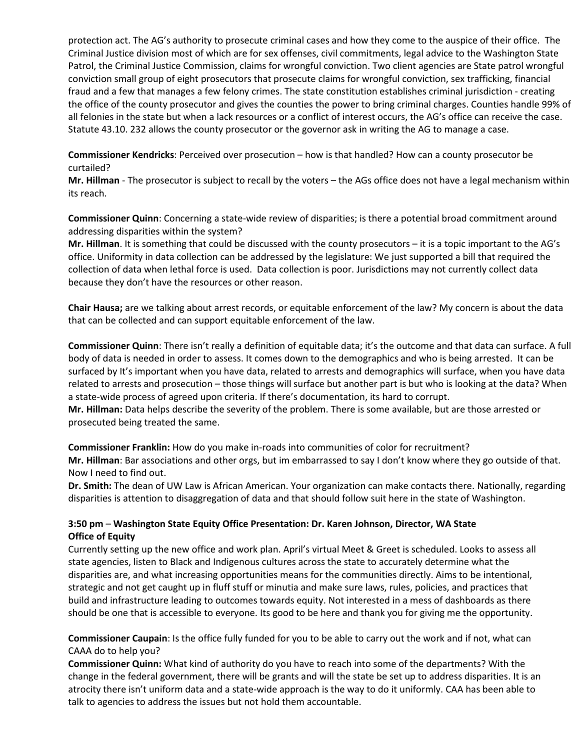protection act. The AG's authority to prosecute criminal cases and how they come to the auspice of their office. The Criminal Justice division most of which are for sex offenses, civil commitments, legal advice to the Washington State Patrol, the Criminal Justice Commission, claims for wrongful conviction. Two client agencies are State patrol wrongful conviction small group of eight prosecutors that prosecute claims for wrongful conviction, sex trafficking, financial fraud and a few that manages a few felony crimes. The state constitution establishes criminal jurisdiction - creating the office of the county prosecutor and gives the counties the power to bring criminal charges. Counties handle 99% of all felonies in the state but when a lack resources or a conflict of interest occurs, the AG's office can receive the case. Statute 43.10. 232 allows the county prosecutor or the governor ask in writing the AG to manage a case.

**Commissioner Kendricks**: Perceived over prosecution – how is that handled? How can a county prosecutor be curtailed?

**Mr. Hillman** - The prosecutor is subject to recall by the voters – the AGs office does not have a legal mechanism within its reach.

**Commissioner Quinn**: Concerning a state-wide review of disparities; is there a potential broad commitment around addressing disparities within the system?

**Mr. Hillman**. It is something that could be discussed with the county prosecutors – it is a topic important to the AG's office. Uniformity in data collection can be addressed by the legislature: We just supported a bill that required the collection of data when lethal force is used. Data collection is poor. Jurisdictions may not currently collect data because they don't have the resources or other reason.

**Chair Hausa;** are we talking about arrest records, or equitable enforcement of the law? My concern is about the data that can be collected and can support equitable enforcement of the law.

**Commissioner Quinn**: There isn't really a definition of equitable data; it's the outcome and that data can surface. A full body of data is needed in order to assess. It comes down to the demographics and who is being arrested. It can be surfaced by It's important when you have data, related to arrests and demographics will surface, when you have data related to arrests and prosecution – those things will surface but another part is but who is looking at the data? When a state-wide process of agreed upon criteria. If there's documentation, its hard to corrupt.

**Mr. Hillman:** Data helps describe the severity of the problem. There is some available, but are those arrested or prosecuted being treated the same.

**Commissioner Franklin:** How do you make in-roads into communities of color for recruitment?

**Mr. Hillman**: Bar associations and other orgs, but im embarrassed to say I don't know where they go outside of that. Now I need to find out.

**Dr. Smith:** The dean of UW Law is African American. Your organization can make contacts there. Nationally, regarding disparities is attention to disaggregation of data and that should follow suit here in the state of Washington.

#### **3:50 pm** – **Washington State Equity Office Presentation: Dr. Karen Johnson, Director, WA State Office of Equity**

Currently setting up the new office and work plan. April's virtual Meet & Greet is scheduled. Looks to assess all state agencies, listen to Black and Indigenous cultures across the state to accurately determine what the disparities are, and what increasing opportunities means for the communities directly. Aims to be intentional, strategic and not get caught up in fluff stuff or minutia and make sure laws, rules, policies, and practices that build and infrastructure leading to outcomes towards equity. Not interested in a mess of dashboards as there should be one that is accessible to everyone. Its good to be here and thank you for giving me the opportunity.

**Commissioner Caupain**: Is the office fully funded for you to be able to carry out the work and if not, what can CAAA do to help you?

**Commissioner Quinn:** What kind of authority do you have to reach into some of the departments? With the change in the federal government, there will be grants and will the state be set up to address disparities. It is an atrocity there isn't uniform data and a state-wide approach is the way to do it uniformly. CAA has been able to talk to agencies to address the issues but not hold them accountable.